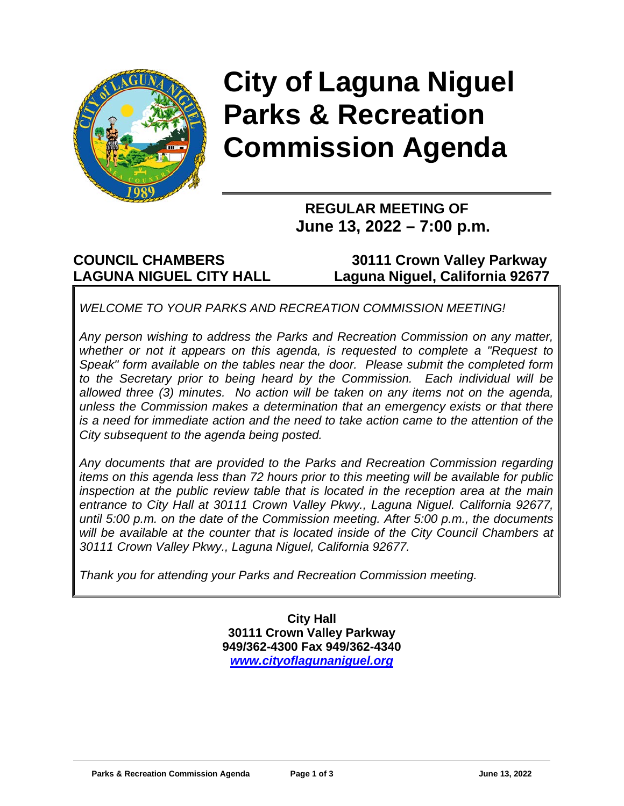

# **City of Laguna Niguel Parks & Recreation Commission Agenda**

### **REGULAR MEETING OF June 13, 2022 – 7:00 p.m.**

**COUNCIL CHAMBERS 30111 Crown Valley Parkway LAGUNA NIGUEL CITY HALL Laguna Niguel, California 92677**

*WELCOME TO YOUR PARKS AND RECREATION COMMISSION MEETING!*

*Any person wishing to address the Parks and Recreation Commission on any matter, whether or not it appears on this agenda, is requested to complete a "Request to Speak" form available on the tables near the door. Please submit the completed form to the Secretary prior to being heard by the Commission. Each individual will be allowed three (3) minutes. No action will be taken on any items not on the agenda, unless the Commission makes a determination that an emergency exists or that there is a need for immediate action and the need to take action came to the attention of the City subsequent to the agenda being posted.* 

*Any documents that are provided to the Parks and Recreation Commission regarding items on this agenda less than 72 hours prior to this meeting will be available for public inspection at the public review table that is located in the reception area at the main entrance to City Hall at 30111 Crown Valley Pkwy., Laguna Niguel. California 92677, until 5:00 p.m. on the date of the Commission meeting. After 5:00 p.m., the documents*  will be available at the counter that is located inside of the City Council Chambers at *30111 Crown Valley Pkwy., Laguna Niguel, California 92677.*

*Thank you for attending your Parks and Recreation Commission meeting.*

**City Hall 30111 Crown Valley Parkway 949/362-4300 Fax 949/362-4340** *[www.cityoflagunaniguel.org](http://www.cityoflagunaniguel.org/)*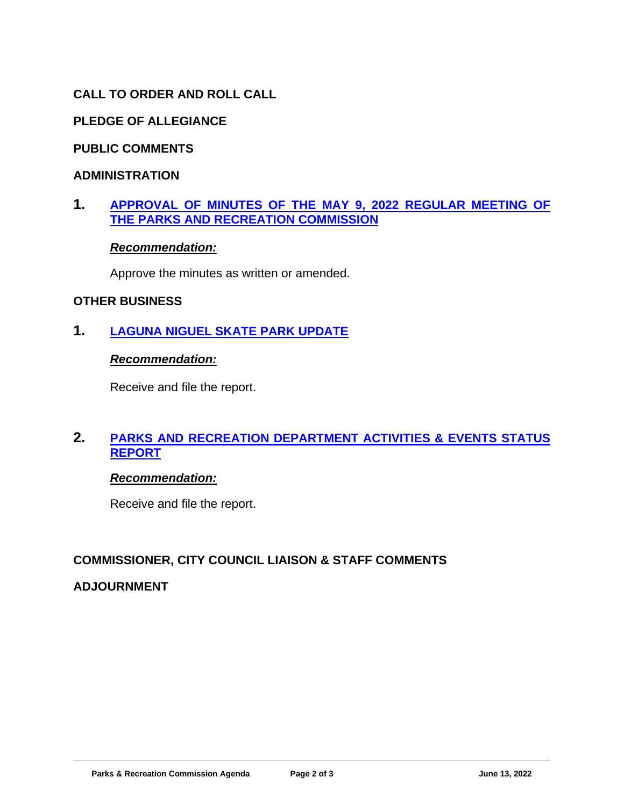#### **CALL TO ORDER AND ROLL CALL**

#### **PLEDGE OF ALLEGIANCE**

#### **PUBLIC COMMENTS**

#### **ADMINISTRATION**

#### **1. [APPROVAL OF MINUTES](https://www.cityoflagunaniguel.org/DocumentCenter/View/22846/Minutes-May-9-2022) OF THE MAY 9, 2022 REGULAR MEETING OF [THE PARKS AND RECREATION COMMISSION](https://www.cityoflagunaniguel.org/DocumentCenter/View/22846/Minutes-May-9-2022)**

#### *Recommendation:*

Approve the minutes as written or amended.

#### **OTHER BUSINESS**

**1. [LAGUNA NIGUEL SKATE](https://www.cityoflagunaniguel.org/DocumentCenter/View/22851/Staff-Report---Skate-Park-Updates) PARK UPDATE**

#### *Recommendation:*

Receive and file the report.

#### **2. [PARKS AND RECREATION DEPARTMENT ACTIVITIES & EVENTS STATUS](https://www.cityoflagunaniguel.org/DocumentCenter/View/22847/Status-Report)  [REPORT](https://www.cityoflagunaniguel.org/DocumentCenter/View/22847/Status-Report)**

#### *Recommendation:*

Receive and file the report.

#### **COMMISSIONER, CITY COUNCIL LIAISON & STAFF COMMENTS**

#### **ADJOURNMENT**